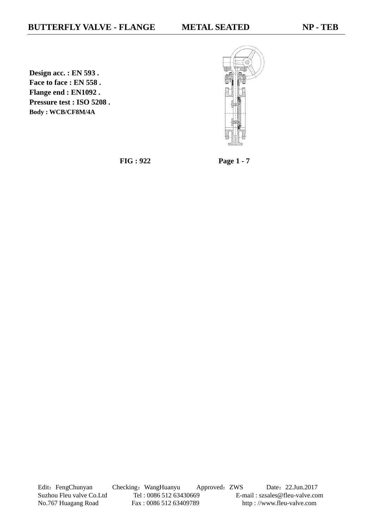**Design acc. : EN 593 . Face to face : EN 558 . Flange end : EN1092 . Pressure test : ISO 5208 . Body : WCB/CF8M/4A**



**FIG : 922 Page 1 - 7**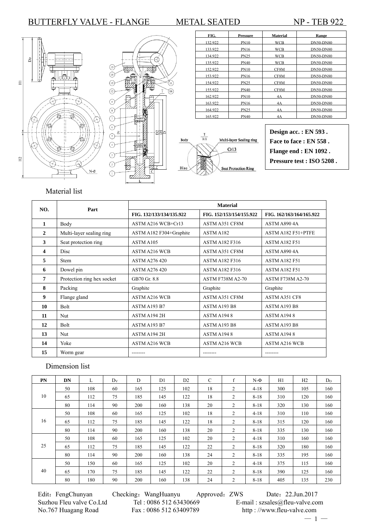



| FIG.    | <b>Pressure</b> | <b>Material</b> | Range            |
|---------|-----------------|-----------------|------------------|
| 132.922 | <b>PN10</b>     | WCB             | <b>DN50-DN80</b> |
| 133.922 | <b>PN16</b>     | WCB             | <b>DN50-DN80</b> |
| 134.922 | <b>PN25</b>     | WCB             | <b>DN50-DN80</b> |
| 135.922 | PN40            | <b>WCB</b>      | <b>DN50-DN80</b> |
| 152.922 | <b>PN10</b>     | CF8M            | <b>DN50-DN80</b> |
| 153.922 | <b>PN16</b>     | CF8M            | <b>DN50-DN80</b> |
| 154.922 | <b>PN25</b>     | CF8M            | <b>DN50-DN80</b> |
| 155.922 | PN40            | CF8M            | <b>DN50-DN80</b> |
| 162.922 | <b>PN10</b>     | 4A              | <b>DN50-DN80</b> |
| 163.922 | <b>PN16</b>     | 4A              | <b>DN50-DN80</b> |
| 164.922 | <b>PN25</b>     | 4A              | <b>DN50-DN80</b> |
| 165.922 | PN40            | 4A              | <b>DN50-DN80</b> |



**Design acc. : EN 593 . Face to face : EN 558 . Flange end : EN 1092 . Pressure test : ISO 5208 .**

### Material list

| NO.                     | Part                       | <b>Material</b>          |                          |                          |  |  |  |  |  |
|-------------------------|----------------------------|--------------------------|--------------------------|--------------------------|--|--|--|--|--|
|                         |                            | FIG. 132/133/134/135.922 | FIG. 152/153/154/155.922 | FIG. 162/163/164/165.922 |  |  |  |  |  |
| 1                       | Body                       | ASTM A216 WCB+Cr13       | ASTM A351 CF8M           | ASTM A890 4A             |  |  |  |  |  |
| 2                       | Multi-layer sealing ring   | ASTM A182 F304+Graphite  | ASTM A182                | ASTM A182 F51+PTFE       |  |  |  |  |  |
| 3                       | Seat protection ring       | ASTM A105                | <b>ASTM A182 F316</b>    | <b>ASTM A182 F51</b>     |  |  |  |  |  |
| $\overline{\mathbf{4}}$ | Disc                       | <b>ASTM A216 WCB</b>     | ASTM A351 CF8M           | ASTM A8904A              |  |  |  |  |  |
| 5                       | <b>Stem</b>                | <b>ASTM A276 420</b>     | <b>ASTM A182 F316</b>    | <b>ASTM A182 F51</b>     |  |  |  |  |  |
| 6                       | Dowel pin                  | <b>ASTM A276 420</b>     | <b>ASTM A182 F316</b>    | <b>ASTM A182 F51</b>     |  |  |  |  |  |
| 7                       | Protection ring hex socket | GB70 Gr. 8.8             | <b>ASTM F738M A2-70</b>  | <b>ASTM F738M A2-70</b>  |  |  |  |  |  |
| 8                       | Packing                    | Graphite                 | Graphite                 | Graphite                 |  |  |  |  |  |
| 9                       | Flange gland               | <b>ASTM A216 WCB</b>     | ASTM A351 CF8M           | ASTM A351 CF8            |  |  |  |  |  |
| 10                      | Bolt                       | ASTM A193 B7             | ASTM A193 B8             | ASTM A193 B8             |  |  |  |  |  |
| 11                      | Nut                        | ASTM A194 2H             | ASTM A1948               | <b>ASTM A1948</b>        |  |  |  |  |  |
| 12                      | Bolt                       | ASTM A193 B7             | ASTM A193 B8             | ASTM A193 B8             |  |  |  |  |  |
| 13                      | Nut                        | ASTM A194 2H             | ASTM A1948               | <b>ASTM A1948</b>        |  |  |  |  |  |
| 14                      | Yoke                       | <b>ASTM A216 WCB</b>     | <b>ASTM A216 WCB</b>     | <b>ASTM A216 WCB</b>     |  |  |  |  |  |
| 15                      | Worm gear                  | --------                 | --------                 | --------                 |  |  |  |  |  |

### Dimension list

| PN | DN | L   | $D_V$ | D   | D1  | D2  | $\mathcal{C}$ | f | $N-\Phi$ | H1  | H2  | D <sub>0</sub> |
|----|----|-----|-------|-----|-----|-----|---------------|---|----------|-----|-----|----------------|
|    | 50 | 108 | 60    | 165 | 125 | 102 | 18            | 2 | $4 - 18$ | 300 | 105 | 160            |
| 10 | 65 | 112 | 75    | 185 | 145 | 122 | 18            | 2 | $8 - 18$ | 310 | 120 | 160            |
|    | 80 | 114 | 90    | 200 | 160 | 138 | 20            | 2 | $8 - 18$ | 320 | 130 | 160            |
|    | 50 | 108 | 60    | 165 | 125 | 102 | 18            | 2 | $4 - 18$ | 310 | 110 | 160            |
| 16 | 65 | 112 | 75    | 185 | 145 | 122 | 18            | 2 | $8 - 18$ | 315 | 120 | 160            |
|    | 80 | 114 | 90    | 200 | 160 | 138 | 20            | 2 | $8 - 18$ | 335 | 130 | 160            |
|    | 50 | 108 | 60    | 165 | 125 | 102 | 20            | 2 | $4 - 18$ | 310 | 160 | 160            |
| 25 | 65 | 112 | 75    | 185 | 145 | 122 | 22            | 2 | $8 - 18$ | 320 | 180 | 160            |
|    | 80 | 114 | 90    | 200 | 160 | 138 | 24            | 2 | $8 - 18$ | 335 | 195 | 160            |
|    | 50 | 150 | 60    | 165 | 125 | 102 | 20            | 2 | $4 - 18$ | 375 | 115 | 160            |
| 40 | 65 | 170 | 75    | 185 | 145 | 122 | 22            | 2 | $8 - 18$ | 390 | 125 | 160            |
|    | 80 | 180 | 90    | 200 | 160 | 138 | 24            | 2 | $8 - 18$ | 405 | 135 | 230            |

Edit: FengChunyan Checking: WangHuanyu Approved: ZWS Date: 22.Jun.2017 Suzhou Fleu valve Co.Ltd Tel : 0086 512 63430669 E-mail : szsales@fleu-valve.com<br>No.767 Huagang Road Fax : 0086 512 63409789 http : //www.fleu-valve.com

http : //www.fleu-valve.com

 $-1 -$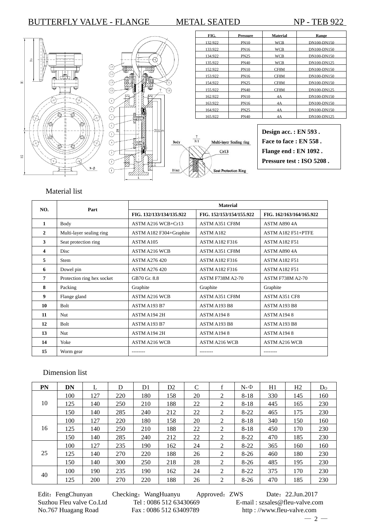

### Material list

| NO. | Part                       | <b>Material</b>          |                          |                          |  |  |  |  |  |
|-----|----------------------------|--------------------------|--------------------------|--------------------------|--|--|--|--|--|
|     |                            | FIG. 132/133/134/135.922 | FIG. 152/153/154/155.922 | FIG. 162/163/164/165.922 |  |  |  |  |  |
| 1   | Body                       | ASTM A216 WCB+Cr13       | <b>ASTM A351 CF8M</b>    | ASTM A8904A              |  |  |  |  |  |
| 2   | Multi-layer sealing ring   | ASTM A182 F304+Graphite  | ASTM A182                | ASTM A182 F51+PTFE       |  |  |  |  |  |
| 3   | Seat protection ring       | ASTM A105                | <b>ASTM A182 F316</b>    | <b>ASTM A182 F51</b>     |  |  |  |  |  |
| 4   | <b>Disc</b>                | <b>ASTM A216 WCB</b>     | <b>ASTM A351 CF8M</b>    | <b>ASTM A890 4A</b>      |  |  |  |  |  |
| 5   | <b>Stem</b>                | <b>ASTM A276 420</b>     | <b>ASTM A182 F316</b>    | <b>ASTM A182 F51</b>     |  |  |  |  |  |
| 6   | Dowel pin                  | <b>ASTM A276 420</b>     | <b>ASTM A182 F316</b>    | <b>ASTM A182 F51</b>     |  |  |  |  |  |
| 7   | Protection ring hex socket | GB70 Gr. 8.8             | <b>ASTM F738M A2-70</b>  | <b>ASTM F738M A2-70</b>  |  |  |  |  |  |
| 8   | Packing                    | Graphite                 | Graphite                 | Graphite                 |  |  |  |  |  |
| 9   | Flange gland               | <b>ASTM A216 WCB</b>     | ASTM A351 CF8M           | ASTM A351 CF8            |  |  |  |  |  |
| 10  | <b>Bolt</b>                | <b>ASTM A193 B7</b>      | <b>ASTM A193 B8</b>      | <b>ASTM A193 B8</b>      |  |  |  |  |  |
| 11  | <b>Nut</b>                 | ASTM A194 2H             | <b>ASTM A1948</b>        | <b>ASTM A1948</b>        |  |  |  |  |  |
| 12  | <b>Bolt</b>                | ASTM A193 B7             | ASTM A193 B8             | ASTM A193 B8             |  |  |  |  |  |
| 13  | <b>Nut</b>                 | ASTM A194 2H             | ASTM A1948               | ASTM A1948               |  |  |  |  |  |
| 14  | Yoke                       | <b>ASTM A216 WCB</b>     | <b>ASTM A216 WCB</b>     | <b>ASTM A216 WCB</b>     |  |  |  |  |  |
| 15  | Worm gear                  | ---------                | --------                 | --------                 |  |  |  |  |  |

### Dimension list

| <b>PN</b> | DN  |     | D   | D <sub>1</sub> | D <sub>2</sub> | C  | $\mathbf f$ | $N - \Phi$ | H1  | H2  | $D_{\rm O}$ |
|-----------|-----|-----|-----|----------------|----------------|----|-------------|------------|-----|-----|-------------|
|           | 100 | 127 | 220 | 180            | 158            | 20 | 2           | $8 - 18$   | 330 | 145 | 160         |
| 10        | 125 | 140 | 250 | 210            | 188            | 22 | 2           | $8 - 18$   | 445 | 165 | 230         |
|           | 150 | 140 | 285 | 240            | 212            | 22 | 2           | $8-22$     | 465 | 175 | 230         |
|           | 100 | 127 | 220 | 180            | 158            | 20 | 2           | $8 - 18$   | 340 | 150 | 160         |
| 16        | 125 | 140 | 250 | 210            | 188            | 22 | 2           | $8 - 18$   | 450 | 170 | 230         |
|           | 150 | 140 | 285 | 240            | 212            | 22 | 2           | $8-22$     | 470 | 185 | 230         |
|           | 100 | 127 | 235 | 190            | 162            | 24 | 2           | $8-22$     | 365 | 160 | 160         |
| 25        | 125 | 140 | 270 | 220            | 188            | 26 | 2           | $8-26$     | 460 | 180 | 230         |
|           | 150 | 140 | 300 | 250            | 218            | 28 | 2           | $8-26$     | 485 | 195 | 230         |
|           | 100 | 190 | 235 | 190            | 162            | 24 | 2           | $8-22$     | 375 | 170 | 230         |
| 40        | 125 | 200 | 270 | 220            | 188            | 26 | 2           | $8-26$     | 470 | 185 | 230         |

No.767 Huagang Road Fax : 0086 512 63409789 http : //www.fleu-valve.com

Edit: FengChunyan Checking: WangHuanyu Approved: ZWS Date: 22.Jun.2017 Suzhou Fleu valve Co.Ltd Tel : 0086 512 63430669 E-mail : szsales@fleu-valve.com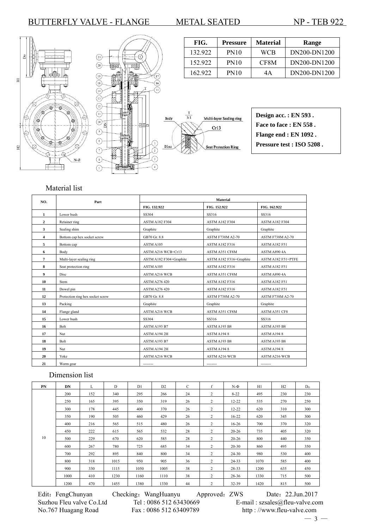





FIG. Pressure Material Range 132.922 PN10 WCB DN200-DN1200 152.922 PN10 CF8M DN200-DN1200 162.922 PN10 4A DN200-DN1200

### Material list

| NO.          | Part                             | <b>Material</b>         |                         |                         |  |  |  |  |
|--------------|----------------------------------|-------------------------|-------------------------|-------------------------|--|--|--|--|
|              |                                  | FIG. 132.922            | FIG. 152.922            | FIG. 162.922            |  |  |  |  |
| 1            | Lower bush                       | SS304                   | SS316                   | SS316                   |  |  |  |  |
| $\mathbf{2}$ | Retainer ring                    | <b>ASTM A182 F304</b>   | <b>ASTM A182 F304</b>   | <b>ASTM A182 F304</b>   |  |  |  |  |
| 3            | Sealing shim                     | Graphite                | Graphite                | Graphite                |  |  |  |  |
| 4            | Bottom cap hex socket screw      | GB70 Gr. 8.8            | <b>ASTM F738M A2-70</b> | <b>ASTM F738M A2-70</b> |  |  |  |  |
| 5            | Bottom cap                       | ASTM A105               | <b>ASTM A182 F316</b>   | <b>ASTM A182 F51</b>    |  |  |  |  |
| 6            | Body                             | ASTM A216 WCB+Cr13      | ASTM A351 CF8M          | ASTM A890 4A            |  |  |  |  |
| 7            | Multi-layer sealing ring         | ASTM A182 F304+Graphite | ASTM A182 F316+Graphite | ASTM A182 F51+PTFE      |  |  |  |  |
| 8            | Seat protection ring             | ASTM A105               | ASTM A182 F316          | <b>ASTM A182 F51</b>    |  |  |  |  |
| 9            | Disc                             | <b>ASTM A216 WCB</b>    | ASTM A351 CF8M          | ASTM A890 4A            |  |  |  |  |
| 10           | Stem                             | <b>ASTM A276 420</b>    | ASTM A182 F316          | <b>ASTM A182 F51</b>    |  |  |  |  |
| 11           | Dowel pin                        | <b>ASTM A276 420</b>    | ASTM A182 F316          | <b>ASTM A182 F51</b>    |  |  |  |  |
| 12           | Protection ring hex socket screw | GB70 Gr. 8.8            | <b>ASTM F738M A2-70</b> | <b>ASTM F738M A2-70</b> |  |  |  |  |
| 13           | Packing                          | Graphite                | Graphite                | Graphite                |  |  |  |  |
| 14           | Flange gland                     | <b>ASTM A216 WCB</b>    | ASTM A351 CF8M          | ASTM A351 CF8           |  |  |  |  |
| 15           | Lower bush                       | SS304                   | SS316                   | SS316                   |  |  |  |  |
| 16           | Bolt                             | ASTM A193 B7            | ASTM A193 B8            | ASTM A193 B8            |  |  |  |  |
| 17           | Nut                              | ASTM A194 2H            | ASTM A1948              | ASTM A1948              |  |  |  |  |
| 18           | Bolt                             | ASTM A193 B7            | ASTM A193 B8            | ASTM A193 B8            |  |  |  |  |
| 19           | Nut                              | ASTM A194 2H            | ASTM A1948              | ASTM A1948              |  |  |  |  |
| 20           | Yoke                             | <b>ASTM A216 WCB</b>    | <b>ASTM A216 WCB</b>    | <b>ASTM A216 WCB</b>    |  |  |  |  |
| 21           | Worm gear                        |                         |                         | --------                |  |  |  |  |

## Dimension list

| <b>PN</b> | <b>DN</b> | L   | D    | D1   | D <sub>2</sub> | C  | $\mathbf f$ | $N-\Phi$  | H1   | H2  | D <sub>0</sub> |
|-----------|-----------|-----|------|------|----------------|----|-------------|-----------|------|-----|----------------|
|           | 200       | 152 | 340  | 295  | 266            | 24 | 2           | $8 - 22$  | 495  | 230 | 230            |
|           | 250       | 165 | 395  | 350  | 319            | 26 | 2           | $12 - 22$ | 535  | 270 | 250            |
|           | 300       | 178 | 445  | 400  | 370            | 26 | 2           | $12 - 22$ | 620  | 310 | 300            |
|           | 350       | 190 | 505  | 460  | 429            | 26 | 2           | $16-22$   | 620  | 345 | 300            |
|           | 400       | 216 | 565  | 515  | 480            | 26 | 2           | $16-26$   | 700  | 370 | 320            |
|           | 450       | 222 | 615  | 565  | 532            | 28 | 2           | $20 - 26$ | 735  | 405 | 320            |
| 10        | 500       | 229 | 670  | 620  | 585            | 28 | 2           | $20 - 26$ | 800  | 440 | 350            |
|           | 600       | 267 | 780  | 725  | 685            | 34 | 2           | $20 - 30$ | 860  | 495 | 350            |
|           | 700       | 292 | 895  | 840  | 800            | 34 | 2           | $24 - 30$ | 980  | 530 | 400            |
|           | 800       | 318 | 1015 | 950  | 905            | 36 | 2           | $24 - 33$ | 1070 | 585 | 400            |
|           | 900       | 330 | 1115 | 1050 | 1005           | 38 | 2           | 28-33     | 1200 | 635 | 450            |
|           | 1000      | 410 | 1230 | 1160 | 1110           | 38 | 2           | 28-36     | 1330 | 715 | 500            |
|           |           |     |      |      |                |    |             |           |      |     |                |
|           | 1200      | 470 | 1455 | 1380 | 1330           | 44 | 2           | $32 - 39$ | 1420 | 815 | 500            |

Edit: FengChunyan Checking: WangHuanyu Approved: ZWS Date: 22.Jun.2017 Suzhou Fleu valve Co.Ltd Tel : 0086 512 63430669 E-mail : szsales@fleu-valve.com<br>No.767 Huagang Road Fax : 0086 512 63409789 http : //www.fleu-valve.com

http : //www.fleu-valve.com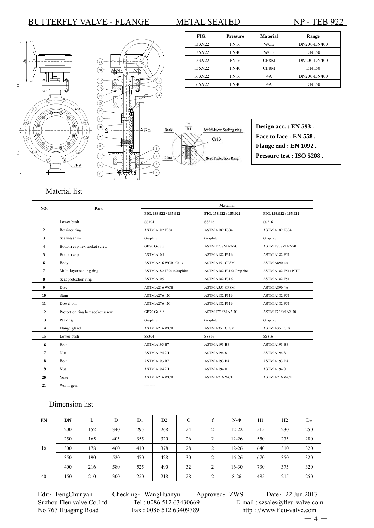





| 133.922 | <b>PN16</b> | WCB  | DN200-DN400  |
|---------|-------------|------|--------------|
| 135.922 | <b>PN40</b> | WCB  | <b>DN150</b> |
| 153.922 | <b>PN16</b> | CF8M | DN200-DN400  |
| 155.922 | PN40        | CF8M | DN150        |
| 163.922 | <b>PN16</b> | 4A   | DN200-DN400  |
| 165.922 | PN40        | 4A   | <b>DN150</b> |

FIG. Pressure Material Range

**Design acc. : EN 593 . Face to face : EN 558 . Flange end : EN 1092 . Pressure test : ISO 5208 .**

### Material list

| NO.            | Part                             | <b>Material</b>         |                         |                         |  |  |  |  |
|----------------|----------------------------------|-------------------------|-------------------------|-------------------------|--|--|--|--|
|                |                                  | FIG. 133.922 / 135.922  | FIG. 153.922 / 155.922  | FIG. 163.922 / 165.922  |  |  |  |  |
| 1              | Lower bush                       | SS304                   | SS316                   | SS316                   |  |  |  |  |
| $\overline{2}$ | Retainer ring                    | <b>ASTM A182 F304</b>   | <b>ASTM A182 F304</b>   | <b>ASTM A182 F304</b>   |  |  |  |  |
| 3              | Sealing shim                     | Graphite                | Graphite                | Graphite                |  |  |  |  |
| $\overline{4}$ | Bottom cap hex socket screw      | GB70 Gr. 8.8            | <b>ASTM F738M A2-70</b> | <b>ASTM F738M A2-70</b> |  |  |  |  |
| 5              | Bottom cap                       | ASTM A105               | <b>ASTM A182 F316</b>   | <b>ASTM A182 F51</b>    |  |  |  |  |
| 6              | Body                             | ASTM A216 WCB+Cr13      | ASTM A351 CF8M          | ASTM A890 4A            |  |  |  |  |
| $\overline{7}$ | Multi-layer sealing ring         | ASTM A182 F304+Graphite | ASTM A182 F316+Graphite | ASTM A182 F51+PTFE      |  |  |  |  |
| 8              | Seat protection ring             | ASTM A105               | <b>ASTM A182 F316</b>   | <b>ASTM A182 F51</b>    |  |  |  |  |
| 9              | Disc                             | <b>ASTM A216 WCB</b>    | ASTM A351 CF8M          | ASTM A890 4A            |  |  |  |  |
| 10             | Stem                             | <b>ASTM A276 420</b>    | <b>ASTM A182 F316</b>   | <b>ASTM A182 F51</b>    |  |  |  |  |
| 11             | Dowel pin                        | <b>ASTM A276 420</b>    | <b>ASTM A182 F316</b>   | <b>ASTM A182 F51</b>    |  |  |  |  |
| 12             | Protection ring hex socket screw | GB70 Gr. 8.8            | <b>ASTM F738M A2-70</b> | <b>ASTM F738M A2-70</b> |  |  |  |  |
| 13             | Packing                          | Graphite                | Graphite                | Graphite                |  |  |  |  |
| 14             | Flange gland                     | <b>ASTM A216 WCB</b>    | ASTM A351 CF8M          | ASTM A351 CF8           |  |  |  |  |
| 15             | Lower bush                       | SS304                   | SS316                   | SS316                   |  |  |  |  |
| 16             | Bolt                             | ASTM A193 B7            | ASTM A193 B8            | ASTM A193 B8            |  |  |  |  |
| 17             | <b>Nut</b>                       | ASTM A194 2H            | ASTM A1948              | ASTM A1948              |  |  |  |  |
| 18             | <b>Bolt</b>                      | ASTM A193 B7            | ASTM A193 B8            | ASTM A193 B8            |  |  |  |  |
| 19             | Nut                              | ASTM A194 2H            | ASTM A1948              | ASTM A1948              |  |  |  |  |
| 20             | Yoke                             | <b>ASTM A216 WCB</b>    | <b>ASTM A216 WCB</b>    | <b>ASTM A216 WCB</b>    |  |  |  |  |
| 21             | Worm gear                        | --------                | ---------               | --------                |  |  |  |  |

### Dimension list

| PN | DN  | L   | D   | D1  | D <sub>2</sub> | C  |                | $N-\Phi$  | H1  | H2  | $D_{O}$ |
|----|-----|-----|-----|-----|----------------|----|----------------|-----------|-----|-----|---------|
|    | 200 | 152 | 340 | 295 | 268            | 24 | 2              | $12 - 22$ | 515 | 230 | 250     |
|    | 250 | 165 | 405 | 355 | 320            | 26 | 2              | $12 - 26$ | 550 | 275 | 280     |
| 16 | 300 | 178 | 460 | 410 | 378            | 28 | $\overline{c}$ | $12 - 26$ | 640 | 310 | 320     |
|    | 350 | 190 | 520 | 470 | 428            | 30 | 2              | $16-26$   | 670 | 350 | 320     |
|    | 400 | 216 | 580 | 525 | 490            | 32 | 2              | $16 - 30$ | 730 | 375 | 320     |
| 40 | 150 | 210 | 300 | 250 | 218            | 28 | $\overline{c}$ | $8-26$    | 485 | 215 | 250     |

Suzhou Fleu valve Co.Ltd Tel : 0086 512 63430669 E-mail : szsales@fleu-valve.com<br>No.767 Huagang Road Fax : 0086 512 63409789 http : //www.fleu-valve.com

Edit: FengChunyan Checking: WangHuanyu Approved: ZWS Date: 22.Jun.2017 http : //www.fleu-valve.com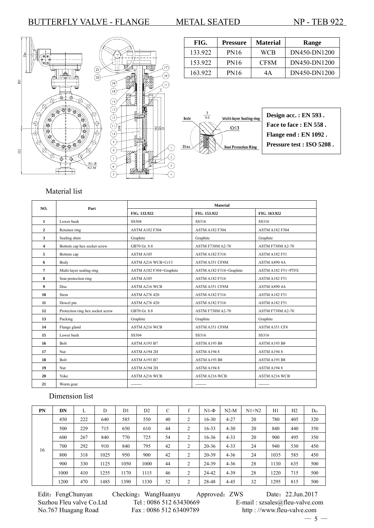

| FIG.    | Pressure    | <b>Material</b> | Range        |
|---------|-------------|-----------------|--------------|
| 133.922 | <b>PN16</b> | WCB             | DN450-DN1200 |
| 153.922 | <b>PN16</b> | CF8M            | DN450-DN1200 |
| 163.922 | <b>PN16</b> | 4Α              | DN450-DN1200 |



| Design acc.: EN 593.      |
|---------------------------|
| Face to face : EN 558.    |
| Flange end : EN 1092.     |
| Pressure test : ISO 5208. |

# Material list

| NO.          | Part                             | Material                |                         |                         |  |  |  |  |
|--------------|----------------------------------|-------------------------|-------------------------|-------------------------|--|--|--|--|
|              |                                  | FIG. 133.922            | FIG. 153.922            | FIG. 163.922            |  |  |  |  |
| 1            | Lower bush                       | SS304                   | SS316                   | SS316                   |  |  |  |  |
| $\mathbf{2}$ | Retainer ring                    | <b>ASTM A182 F304</b>   | <b>ASTM A182 F304</b>   | <b>ASTM A182 F304</b>   |  |  |  |  |
| 3            | Sealing shim                     | Graphite                | Graphite                | Graphite                |  |  |  |  |
| 4            | Bottom cap hex socket screw      | GB70 Gr. 8.8            | <b>ASTM F738M A2-70</b> | <b>ASTM F738M A2-70</b> |  |  |  |  |
| 5            | Bottom cap                       | ASTM A105               | <b>ASTM A182 F316</b>   | <b>ASTM A182 F51</b>    |  |  |  |  |
| 6            | Body                             | ASTM A216 WCB+Cr13      | ASTM A351 CF8M          | ASTM A890 4A            |  |  |  |  |
| 7            | Multi-layer sealing ring         | ASTM A182 F304+Graphite | ASTM A182 F316+Graphite | ASTM A182 F51+PTFE      |  |  |  |  |
| 8            | Seat protection ring             | ASTM A105               | <b>ASTM A182 F316</b>   | <b>ASTM A182 F51</b>    |  |  |  |  |
| 9            | Disc                             | <b>ASTM A216 WCB</b>    | ASTM A351 CF8M          | ASTM A890 4A            |  |  |  |  |
| 10           | Stem                             | <b>ASTM A276 420</b>    | <b>ASTM A182 F316</b>   | <b>ASTM A182 F51</b>    |  |  |  |  |
| 11           | Dowel pin                        | <b>ASTM A276 420</b>    | <b>ASTM A182 F316</b>   | <b>ASTM A182 F51</b>    |  |  |  |  |
| 12           | Protection ring hex socket screw | GB70 Gr. 8.8            | <b>ASTM F738M A2-70</b> | <b>ASTM F738M A2-70</b> |  |  |  |  |
| 13           | Packing                          | Graphite                | Graphite                | Graphite                |  |  |  |  |
| 14           | Flange gland                     | <b>ASTM A216 WCB</b>    | ASTM A351 CF8M          | <b>ASTM A351 CF8</b>    |  |  |  |  |
| 15           | Lower bush                       | SS304                   | SS316                   | SS316                   |  |  |  |  |
| 16           | Bolt                             | ASTM A193 B7            | ASTM A193 B8            | ASTM A193 B8            |  |  |  |  |
| 17           | Nut                              | ASTM A194 2H            | ASTM A1948              | ASTM A1948              |  |  |  |  |
| 18           | <b>Bolt</b>                      | ASTM A193 B7            | ASTM A193 B8            | ASTM A193 B8            |  |  |  |  |
| 19           | Nut                              | ASTM A194 2H            | ASTM A1948              | ASTM A1948              |  |  |  |  |
| 20           | Yoke                             | <b>ASTM A216 WCB</b>    | <b>ASTM A216 WCB</b>    | <b>ASTM A216 WCB</b>    |  |  |  |  |
| 21           | Worm gear                        | --------                | --------                | --------                |  |  |  |  |

# Dimension list

| PN | DN   | L   | D    | D1   | D <sub>2</sub> | C  |                | $N1-\Phi$ | $N2-M$   | $N1+N2$ | H1   | H2  | D <sub>0</sub> |
|----|------|-----|------|------|----------------|----|----------------|-----------|----------|---------|------|-----|----------------|
|    | 450  | 222 | 640  | 585  | 550            | 40 | $\overline{2}$ | $16 - 30$ | $4 - 27$ | 20      | 780  | 405 | 320            |
|    | 500  | 229 | 715  | 650  | 610            | 44 | 2              | $16 - 33$ | $4 - 30$ | 20      | 840  | 440 | 350            |
|    | 600  | 267 | 840  | 770  | 725            | 54 | $\overline{2}$ | $16-36$   | $4 - 33$ | 20      | 900  | 495 | 350            |
|    | 700  | 292 | 910  | 840  | 795            | 42 | $\overline{2}$ | $20 - 36$ | $4 - 33$ | 24      | 940  | 530 | 450            |
| 16 | 800  | 318 | 1025 | 950  | 900            | 42 | $\overline{2}$ | 20-39     | $4 - 36$ | 24      | 1035 | 585 | 450            |
|    | 900  | 330 | 1125 | 1050 | 1000           | 44 | $\overline{2}$ | 24-39     | $4 - 36$ | 28      | 1130 | 635 | 500            |
|    | 1000 | 410 | 1255 | 1170 | 1115           | 46 | $\overline{2}$ | 24-42     | $4 - 39$ | 28      | 1220 | 715 | 500            |
|    | 1200 | 470 | 1485 | 1390 | 1330           | 52 | 2              | 28-48     | $4 - 45$ | 32      | 1295 | 815 | 500            |

Edit: FengChunyan Checking: WangHuanyu Approved: ZWS Date: 22.Jun.2017 Suzhou Fleu valve Co.Ltd Tel : 0086 512 63430669 E-mail : szsales@fleu-valve.com<br>No.767 Huagang Road Fax : 0086 512 63409789 http : //www.fleu-valve.com http : //www.fleu-valve.com  $-5-$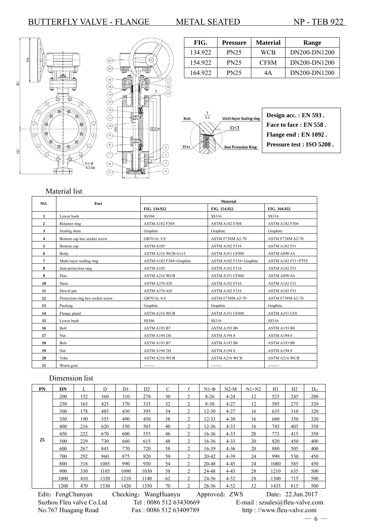



| FIG.    | Pressure    | <b>Material</b> | Range        |
|---------|-------------|-----------------|--------------|
| 134.922 | <b>PN25</b> | WCB             | DN200-DN1200 |
| 154.922 | <b>PN25</b> | CF8M            | DN200-DN1200 |
| 164.922 | <b>PN25</b> | 4A              | DN200-DN1200 |



# Material list

| NO.            | Part                             | <b>Material</b>         |                         |                         |  |  |  |  |
|----------------|----------------------------------|-------------------------|-------------------------|-------------------------|--|--|--|--|
|                |                                  | FIG. 134.922            | FIG. 154.922            | FIG. 164.922            |  |  |  |  |
| 1              | Lower bush                       | SS304                   | SS316                   | SS316                   |  |  |  |  |
| $\overline{2}$ | Retainer ring                    | <b>ASTM A182 F304</b>   | <b>ASTM A182 F304</b>   | <b>ASTM A182 F304</b>   |  |  |  |  |
| 3              | Sealing shim                     | Graphite                | Graphite                | Graphite                |  |  |  |  |
| 4              | Bottom cap hex socket screw      | GB70 Gr. 8.8            | <b>ASTM F738M A2-70</b> | <b>ASTM F738M A2-70</b> |  |  |  |  |
| 5              | Bottom cap                       | ASTM A105               | <b>ASTM A182 F316</b>   | <b>ASTM A182 F51</b>    |  |  |  |  |
| 6              | Body                             | ASTM A216 WCB+Cr13      | ASTM A351 CF8M          | ASTM A890 4A            |  |  |  |  |
| 7              | Multi-layer sealing ring         | ASTM A182 F304+Graphite | ASTM A182 F316+Graphite | ASTM A182 F51+PTFE      |  |  |  |  |
| 8              | Seat protection ring             | ASTM A105               | ASTM A182 F316          | <b>ASTM A182 F51</b>    |  |  |  |  |
| 9              | Disc                             | <b>ASTM A216 WCB</b>    | ASTM A351 CF8M          | ASTM A890 4A            |  |  |  |  |
| 10             | Stem                             | <b>ASTM A276 420</b>    | <b>ASTM A182 F316</b>   | ASTM A182 F51           |  |  |  |  |
| 11             | Dowel pin                        | <b>ASTM A276 420</b>    | <b>ASTM A182 F316</b>   | <b>ASTM A182 F51</b>    |  |  |  |  |
| 12             | Protection ring hex socket screw | GB70 Gr. 8.8            | <b>ASTM F738M A2-70</b> | <b>ASTM F738M A2-70</b> |  |  |  |  |
| 13             | Packing                          | Graphite                | Graphite                | Graphite                |  |  |  |  |
| 14             | Flange gland                     | <b>ASTM A216 WCB</b>    | ASTM A351 CF8M          | ASTM A351 CF8           |  |  |  |  |
| 15             | Lower bush                       | SS304                   | SS316                   | SS316                   |  |  |  |  |
| 16             | Bolt                             | ASTM A193 B7            | ASTM A193 B8            | ASTM A193 B8            |  |  |  |  |
| 17             | Nut                              | ASTM A194 2H            | ASTM A1948              | ASTM A1948              |  |  |  |  |
| 18             | Bolt                             | ASTM A193 B7            | ASTM A193 B8            | ASTM A193 B8            |  |  |  |  |
| 19             | Nut                              | ASTM A194 2H            | ASTM A1948              | ASTM A1948              |  |  |  |  |
| 20             | Yoke                             | <b>ASTM A216 WCB</b>    | <b>ASTM A216 WCB</b>    | <b>ASTM A216 WCB</b>    |  |  |  |  |
| 21             | Worm gear                        | --------                | --------                | --------                |  |  |  |  |

### Dimension list

| PN | DN   | L   | D    | D <sub>1</sub> | D2   | C  | f | $N1-\Phi$ | $N2-M$   | $N1+N2$ | H1   | H2  | D <sub>0</sub> |
|----|------|-----|------|----------------|------|----|---|-----------|----------|---------|------|-----|----------------|
|    | 200  | 152 | 360  | 310            | 278  | 30 | 2 | $8 - 26$  | $4 - 24$ | 12      | 525  | 245 | 280            |
|    | 250  | 165 | 425  | 370            | 335  | 32 | 2 | $8 - 30$  | $4 - 27$ | 12      | 585  | 275 | 320            |
|    | 300  | 178 | 485  | 430            | 395  | 34 | 2 | $12 - 30$ | $4 - 27$ | 16      | 635  | 310 | 320            |
|    | 350  | 190 | 555  | 490            | 450  | 38 | 2 | 12-33     | $4 - 30$ | 16      | 680  | 350 | 320            |
|    | 400  | 216 | 620  | 550            | 505  | 40 | 2 | $12 - 36$ | $4 - 33$ | 16      | 745  | 405 | 350            |
|    | 450  | 222 | 670  | 600            | 555  | 46 | 2 | 16-36     | $4 - 33$ | 20      | 775  | 415 | 350            |
| 25 | 500  | 229 | 730  | 660            | 615  | 48 | 2 | $16 - 36$ | $4 - 33$ | 20      | 820  | 450 | 400            |
|    | 600  | 267 | 845  | 770            | 720  | 58 | 2 | 16-39     | $4 - 36$ | 20      | 880  | 505 | 400            |
|    | 700  | 292 | 960  | 875            | 820  | 50 | 2 | $20 - 42$ | $4 - 39$ | 24      | 990  | 530 | 450            |
|    | 800  | 318 | 1085 | 990            | 930  | 54 | 2 | 20-48     | $4 - 45$ | 24      | 1080 | 585 | 450            |
|    | 900  | 330 | 1185 | 1090           | 1030 | 58 | 2 | 24-48     | $4 - 45$ | 28      | 1210 | 635 | 500            |
|    | 1000 | 410 | 1320 | 1210           | 1140 | 62 | 2 | 24-56     | $4 - 52$ | 28      | 1300 | 715 | 500            |
|    | 1200 | 470 | 1530 | 1420           | 1350 | 70 | 2 | 28-56     | $4 - 52$ | 32      | 1435 | 815 | 500            |

Edit: FengChunyan Checking: WangHuanyu Approved: ZWS Date: 22.Jun.2017

Suzhou Fleu valve Co.Ltd Tel : 0086 512 63430669 E-mail : szsales@fleu-valve.com<br>No.767 Huagang Road Fax : 0086 512 63409789 http : //www.fleu-valve.com http : //www.fleu-valve.com